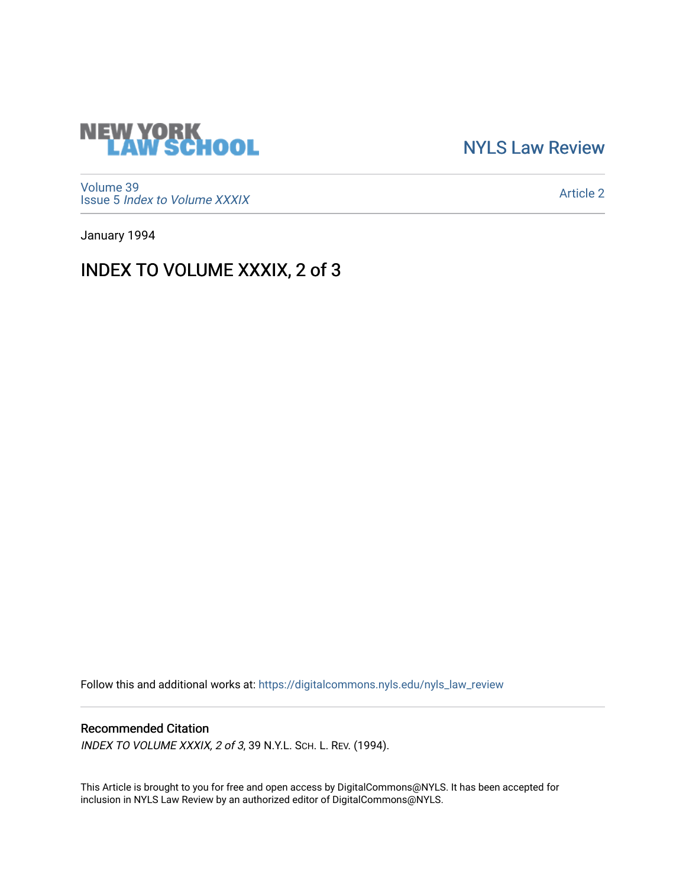

[NYLS Law Review](https://digitalcommons.nyls.edu/nyls_law_review) 

[Volume 39](https://digitalcommons.nyls.edu/nyls_law_review/vol39) Issue 5 [Index to Volume XXXIX](https://digitalcommons.nyls.edu/nyls_law_review/vol39/iss5)

[Article 2](https://digitalcommons.nyls.edu/nyls_law_review/vol39/iss5/2) 

January 1994

## INDEX TO VOLUME XXXIX, 2 of 3

Follow this and additional works at: [https://digitalcommons.nyls.edu/nyls\\_law\\_review](https://digitalcommons.nyls.edu/nyls_law_review?utm_source=digitalcommons.nyls.edu%2Fnyls_law_review%2Fvol39%2Fiss5%2F2&utm_medium=PDF&utm_campaign=PDFCoverPages) 

## Recommended Citation

INDEX TO VOLUME XXXIX, 2 of 3, 39 N.Y.L. SCH. L. REV. (1994).

This Article is brought to you for free and open access by DigitalCommons@NYLS. It has been accepted for inclusion in NYLS Law Review by an authorized editor of DigitalCommons@NYLS.